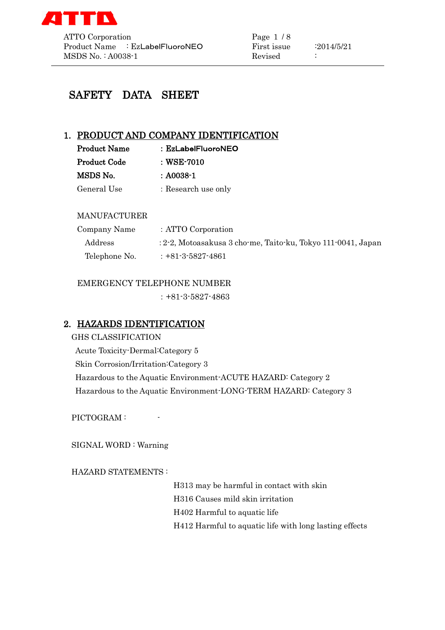

# SAFETY DATA SHEET

### 1. PRODUCT AND COMPANY IDENTIFICATION

| <b>Product Name</b> | :EzLabelFluoroNEO   |
|---------------------|---------------------|
| <b>Product Code</b> | : WSE-7010          |
| MSDS No.            | : A0038-1           |
| General Use         | : Research use only |

### MANUFACTURER

| Company Name  | : ATTO Corporation                                           |
|---------------|--------------------------------------------------------------|
| Address       | : 2-2, Motoasakusa 3 cho-me, Taito-ku, Tokyo 111-0041, Japan |
| Telephone No. | $: +81-3-5827-4861$                                          |

### EMERGENCY TELEPHONE NUMBER

:+81-3-5827-4863

# 2. HAZARDS IDENTIFICATION

GHS CLASSIFICATION Acute Toxicity-Dermal:Category 5 Skin Corrosion/Irritation:Category 3 Hazardous to the Aquatic Environment-ACUTE HAZARD: Category 2 Hazardous to the Aquatic Environment-LONG-TERM HAZARD: Category 3

PICTOGRAM :

SIGNAL WORD : Warning

HAZARD STATEMENTS :

H313 may be harmful in contact with skin H316 Causes mild skin irritation H402 Harmful to aquatic life H412 Harmful to aquatic life with long lasting effects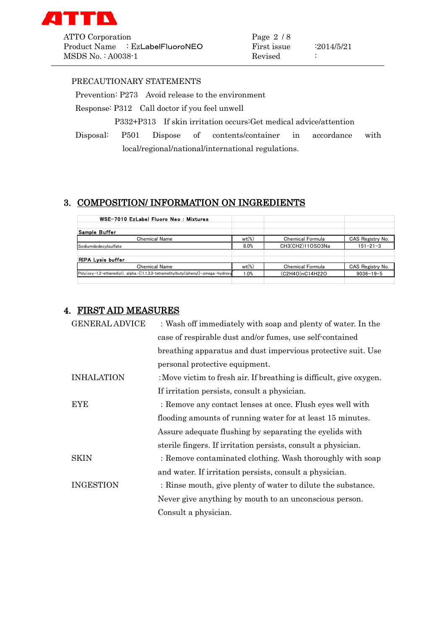

ATTO Corporation Page 2 / 8 Product Name : EzLabelFluoroNEO First issue : 2014/5/21 MSDS No. : A0038-1 Revised :

#### PRECAUTIONARY STATEMENTS

Prevention: P273 Avoid release to the environment

Response: P312 Call doctor if you feel unwell

P332+P313 If skin irritation occurs:Get medical advice/attention

Disposal: P501 Dispose of contents/container in accordance with local/regional/national/international regulations.

### 3. COMPOSITION/ INFORMATION ON INGREDIENTS

| WSE-7010 EzLabel Fluoro Neo: Mixtures                                                |                     |                         |                  |
|--------------------------------------------------------------------------------------|---------------------|-------------------------|------------------|
| Sample Buffer                                                                        |                     |                         |                  |
| <b>Chemical Name</b>                                                                 | $wt$ <sup>(%)</sup> | <b>Chemical Formula</b> | CAS Registry No. |
| SodiumdodecvIsulfate                                                                 | 8.0%                | CH3(CH2)11OSO3Na        | $151 - 21 - 3$   |
|                                                                                      |                     |                         |                  |
| <b>RIPA Lysis buffer</b>                                                             |                     |                         |                  |
| <b>Chemical Name</b>                                                                 | $wt$ <sup>(%)</sup> | <b>Chemical Formula</b> | CAS Registry No. |
| Poly(oxy=1,2-ethanediyl), .alpha.-[(1,1,3,3-tetramethylbutyl)phenyl]-.omega.-hydroxy | 1.0%                | (C2H4O)nC14H22O         | $9036 - 19 - 5$  |
|                                                                                      |                     |                         |                  |

### 4. FIRST AID MEASURES

| <b>GENERAL ADVICE</b> | : Wash off immediately with soap and plenty of water. In the        |  |
|-----------------------|---------------------------------------------------------------------|--|
|                       | case of respirable dust and/or fumes, use self-contained            |  |
|                       | breathing apparatus and dust impervious protective suit. Use        |  |
|                       | personal protective equipment.                                      |  |
| <b>INHALATION</b>     | : Move victim to fresh air. If breathing is difficult, give oxygen. |  |
|                       | If irritation persists, consult a physician.                        |  |
| <b>EYE</b>            | : Remove any contact lenses at once. Flush eyes well with           |  |
|                       | flooding amounts of running water for at least 15 minutes.          |  |
|                       | Assure adequate flushing by separating the eyelids with             |  |
|                       | sterile fingers. If irritation persists, consult a physician.       |  |
| <b>SKIN</b>           | : Remove contaminated clothing. Wash thoroughly with soap           |  |
|                       | and water. If irritation persists, consult a physician.             |  |
| <b>INGESTION</b>      | : Rinse mouth, give plenty of water to dilute the substance.        |  |
|                       | Never give anything by mouth to an unconscious person.              |  |
|                       | Consult a physician.                                                |  |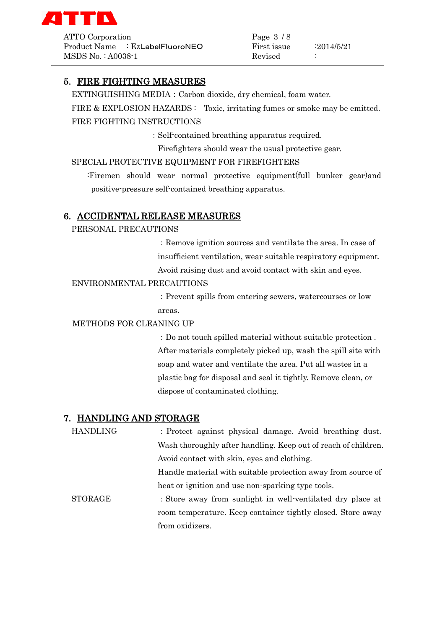

ATTO Corporation Page 3 / 8 Product Name : EzLabelFluoroNEO First issue : 2014/5/21  $MSDS No. : A0038-1$  Revised :

### 5. FIRE FIGHTING MEASURES

EXTINGUISHING MEDIA:Carbon dioxide, dry chemical, foam water. FIRE & EXPLOSION HAZARDS : Toxic, irritating fumes or smoke may be emitted. FIRE FIGHTING INSTRUCTIONS

:Self-contained breathing apparatus required.

Firefighters should wear the usual protective gear.

#### SPECIAL PROTECTIVE EQUIPMENT FOR FIREFIGHTERS

:Firemen should wear normal protective equipment(full bunker gear)and positive-pressure self-contained breathing apparatus.

#### 6. ACCIDENTAL RELEASE MEASURES

PERSONAL PRECAUTIONS

:Remove ignition sources and ventilate the area. In case of insufficient ventilation, wear suitable respiratory equipment. Avoid raising dust and avoid contact with skin and eyes.

#### ENVIRONMENTAL PRECAUTIONS

:Prevent spills from entering sewers, watercourses or low areas.

#### METHODS FOR CLEANING UP

:Do not touch spilled material without suitable protection . After materials completely picked up, wash the spill site with soap and water and ventilate the area. Put all wastes in a plastic bag for disposal and seal it tightly. Remove clean, or dispose of contaminated clothing.

#### 7. HANDLING AND STORAGE

| <b>HANDLING</b> | : Protect against physical damage. Avoid breathing dust.       |
|-----------------|----------------------------------------------------------------|
|                 | Wash thoroughly after handling. Keep out of reach of children. |
|                 | Avoid contact with skin, eyes and clothing.                    |
|                 | Handle material with suitable protection away from source of   |
|                 | heat or ignition and use non-sparking type tools.              |
| <b>STORAGE</b>  | : Store away from sunlight in well-ventilated dry place at     |
|                 | room temperature. Keep container tightly closed. Store away    |
|                 | from oxidizers.                                                |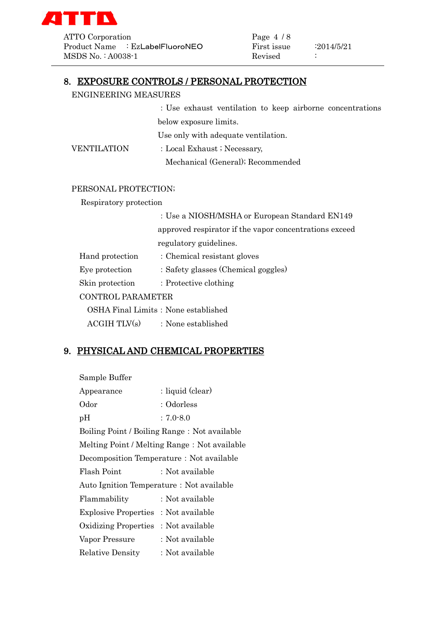

ATTO Corporation Page 4 / 8 Product Name : EzLabelFluoroNEO First issue : 2014/5/21 MSDS No.: A0038-1 Revised :

# 8. EXPOSURE CONTROLS / PERSONAL PROTECTION

#### ENGINEERING MEASURES

:Use exhaust ventilation to keep airborne concentrations below exposure limits.

Use only with adequate ventilation.

VENTILATION : Local Exhaust ; Necessary, Mechanical (General); Recommended

#### PERSONAL PROTECTION;

Respiratory protection

| : Use a NIOSH/MSHA or European Standard EN149          |  |
|--------------------------------------------------------|--|
| approved respirator if the vapor concentrations exceed |  |
| regulatory guidelines.                                 |  |
| : Chemical resistant gloves                            |  |
| : Safety glasses (Chemical goggles)                    |  |
| $\therefore$ Protective clothing                       |  |
| <b>CONTROL PARAMETER</b>                               |  |
| OSHA Final Limits: None established                    |  |
|                                                        |  |

 $ACGIH TLV(s)$  : None established

### 9. PHYSICAL AND CHEMICAL PROPERTIES

| Sample Buffer                             |                                              |  |
|-------------------------------------------|----------------------------------------------|--|
| Appearance                                | : liquid (clear)                             |  |
| Odor                                      | : Odorless                                   |  |
| pH                                        | $: 7.0 - 8.0$                                |  |
|                                           | Boiling Point / Boiling Range: Not available |  |
|                                           | Melting Point / Melting Range: Not available |  |
| Decomposition Temperature : Not available |                                              |  |
| Flash Point                               | : Not available                              |  |
| Auto Ignition Temperature: Not available  |                                              |  |
| Flammability                              | : Not available                              |  |
| Explosive Properties: Not available       |                                              |  |
| Oxidizing Properties: Not available       |                                              |  |
| Vapor Pressure                            | : Not available                              |  |
| <b>Relative Density</b>                   | : Not available                              |  |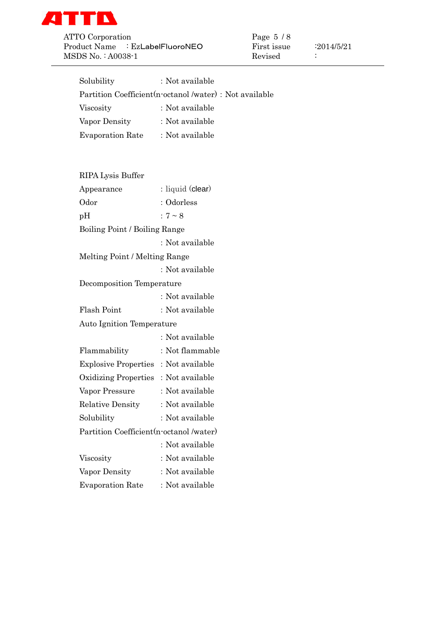

ATTO Corporation Page 5 / 8 Product Name : EzLabelFluoroNEO First issue : 2014/5/21 MSDS No. : A0038-1 Revised :

| Solubility                                               | : Not available  |  |
|----------------------------------------------------------|------------------|--|
| Partition Coefficient (n-octanol /water) : Not available |                  |  |
| Viscosity                                                | : Not available  |  |
| Vapor Density                                            | : Not available  |  |
| Evaporation Rate                                         | : Not available  |  |
|                                                          |                  |  |
|                                                          |                  |  |
| RIPA Lysis Buffer                                        |                  |  |
| Appearance                                               | : liquid (clear) |  |
| Odor                                                     | : Odorless       |  |
| pH                                                       | : $7 \sim 8$     |  |
| Boiling Point / Boiling Range                            |                  |  |
|                                                          | : Not available  |  |
| Melting Point / Melting Range                            |                  |  |
|                                                          | : Not available  |  |
| Decomposition Temperature                                |                  |  |
|                                                          | : Not available  |  |
| Flash Point                                              | : Not available  |  |
| <b>Auto Ignition Temperature</b>                         |                  |  |
|                                                          | : Not available  |  |
| Flammability                                             | : Not flammable  |  |
| Explosive Properties : Not available                     |                  |  |
| Oxidizing Properties: Not available                      |                  |  |
| Vapor Pressure                                           | : Not available  |  |
| <b>Relative Density</b>                                  | : Not available  |  |
| Solubility                                               | : Not available  |  |
| Partition Coefficient (n-octanol /water)                 |                  |  |
|                                                          | : Not available  |  |
| Viscosity                                                | : Not available  |  |
| Vapor Density                                            | : Not available  |  |
| <b>Evaporation Rate</b>                                  | : Not available  |  |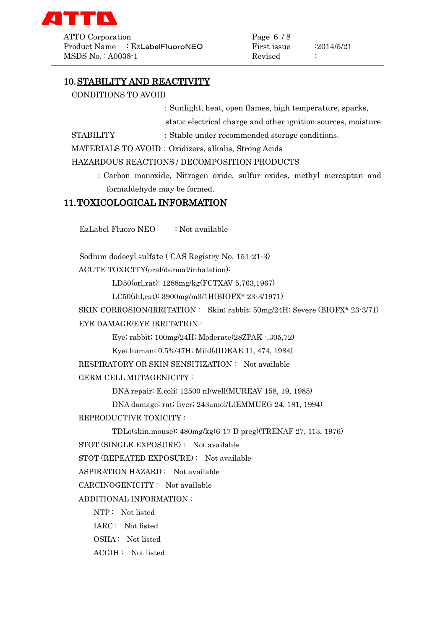

ATTO Corporation Page 6 / 8 Product Name : EzLabelFluoroNEO First issue : 2014/5/21  $MSDS No. : A0038-1$  Revised :

### 10.STABILITY AND REACTIVITY

CONDITIONS TO AVOID

:Sunlight, heat, open flames, high temperature, sparks,

static electrical charge and other ignition sources, moisture

```
STABILITY : Stable under recommended storage conditions.
```
MATERIALS TO AVOID: Oxidizers, alkalis, Strong Acids

HAZARDOUS REACTIONS / DECOMPOSITION PRODUCTS

:Carbon monoxide, Nitrogen oxide, sulfur oxides, methyl mercaptan and formaldehyde may be formed.

### 11.TOXICOLOGICAL INFORMATION

EzLabel Fluoro NEO : Not available

Sodium dodecyl sulfate ( CAS Registry No. 151-21-3)

ACUTE TOXICITY(oral/dermal/inhalation):

LD50(orl,rat): 1288mg/kg(FCTXAV 5,763,1967)

LC50(ihl,rat): 3900mg/m3/1H(BIOFX\* 23-3/1971)

SKIN CORROSION/IRRITATION : Skin; rabbit; 50mg/24H; Severe (BIOFX\* 23-3/71) EYE DAMAGE/EYE IRRITATION :

Eye; rabbit; 100mg/24H; Moderate(28ZPAK -,305,72)

Eye; human; 0.5%/47H; Mild(JIDEAE 11, 474, 1984)

RESPIRATORY OR SKIN SENSITIZATION : Not available

GERM CELL MUTAGENICITY :

DNA repair; E.coli; 12500 nl/well(MUREAV 158, 19, 1985)

DNA damage; rat; liver; 243µmol/L(EMMUEG 24, 181, 1994)

REPRODUCTIVE TOXICITY :

TDLo(skin,mouse): 480mg/kg(6-17 D preg)(TRENAF 27, 113, 1976)

STOT (SINGLE EXPOSURE) : Not available

STOT (REPEATED EXPOSURE) : Not available

ASPIRATION HAZARD : Not available

CARCINOGENICITY : Not available

ADDITIONAL INFORMATION ;

NTP : Not listed

IARC : Not listed

OSHA : Not listed

ACGIH : Not listed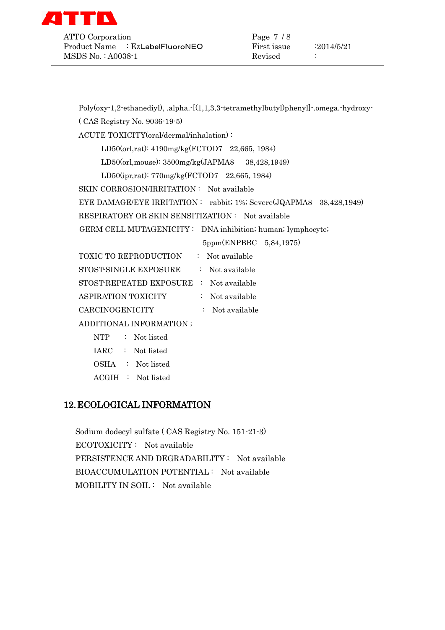

ATTO Corporation Page 7 / 8 Product Name : EzLabelFluoroNEO First issue : 2014/5/21  $MSDS No. : A0038-1$  Revised :

Poly(oxy-1,2-ethanediyl), .alpha.-[(1,1,3,3-tetramethylbutyl)phenyl]-.omega.-hydroxy-

( CAS Registry No. 9036-19-5)

ACUTE TOXICITY(oral/dermal/inhalation) :

LD50(orl,rat): 4190mg/kg(FCTOD7 22,665, 1984)

LD50(orl,mouse): 3500mg/kg(JAPMA8 38,428,1949)

LD50(ipr,rat): 770mg/kg(FCTOD7 22,665, 1984)

SKIN CORROSION/IRRITATION : Not available

EYE DAMAGE/EYE IRRITATION : rabbit; 1%; Severe(JQAPMA8 38,428,1949)

RESPIRATORY OR SKIN SENSITIZATION : Not available

GERM CELL MUTAGENICITY : DNA inhibition; human; lymphocyte;

5ppm(ENPBBC 5,84,1975)

| <b>TOXIC TO REPRODUCTION</b>            | : Not available |
|-----------------------------------------|-----------------|
| STOST-SINGLE EXPOSURE                   | : Not available |
| STOST-REPEATED EXPOSURE : Not available |                 |
| <b>ASPIRATION TOXICITY</b>              | : Not available |
| CARCINOGENICITY                         | : Not available |
|                                         |                 |

ADDITIONAL INFORMATION ;

- NTP : Not listed
- IARC : Not listed
- OSHA : Not listed
- ACGIH : Not listed

### 12.ECOLOGICAL INFORMATION

Sodium dodecyl sulfate ( CAS Registry No. 151-21-3) ECOTOXICITY : Not available PERSISTENCE AND DEGRADABILITY : Not available BIOACCUMULATION POTENTIAL : Not available MOBILITY IN SOIL : Not available